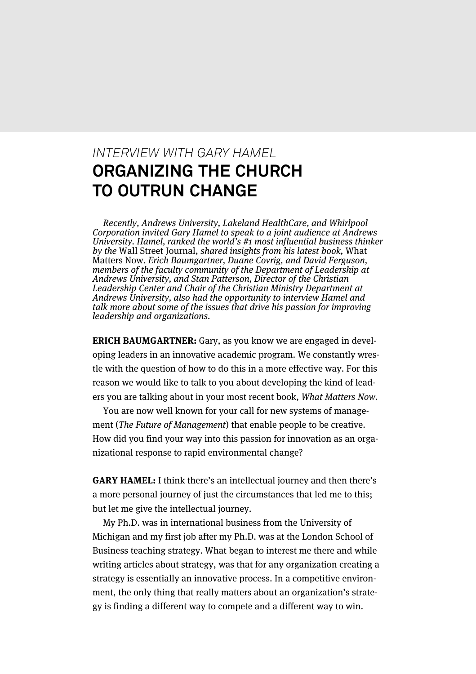### *INTERVIEW WITH GARY HAMEL* **ORGANIZING THE CHURCH TO OUTRUN CHANGE**

Recently, Andrews University, Lakeland HealthCare, and Whirlpool Corporation invited Gary Hamel to speak to a joint audience at Andrews University. Hamel, ranked the world's #1 most influential business thinker by the Wall Street Journal, shared insights from his latest book, What Matters Now. Erich Baumgartner, Duane Covrig, and David Ferguson, members of the faculty community of the Department of Leadership at Andrews University, and Stan Patterson, Director of the Christian Leadership Center and Chair of the Christian Ministry Department at Andrews University, also had the opportunity to interview Hamel and talk more about some of the issues that drive his passion for improving leadership and organizations.

**ERICH BAUMGARTNER:** Gary, as you know we are engaged in developing leaders in an innovative academic program. We constantly wrestle with the question of how to do this in a more effective way. For this reason we would like to talk to you about developing the kind of leaders you are talking about in your most recent book, What Matters Now.

You are now well known for your call for new systems of management (The Future of Management) that enable people to be creative. How did you find your way into this passion for innovation as an organizational response to rapid environmental change?

**GARY HAMEL:** I think there's an intellectual journey and then there's a more personal journey of just the circumstances that led me to this; but let me give the intellectual journey.

My Ph.D. was in international business from the University of Michigan and my first job after my Ph.D. was at the London School of Business teaching strategy. What began to interest me there and while writing articles about strategy, was that for any organization creating a strategy is essentially an innovative process. In a competitive environment, the only thing that really matters about an organization's strategy is finding a different way to compete and a different way to win.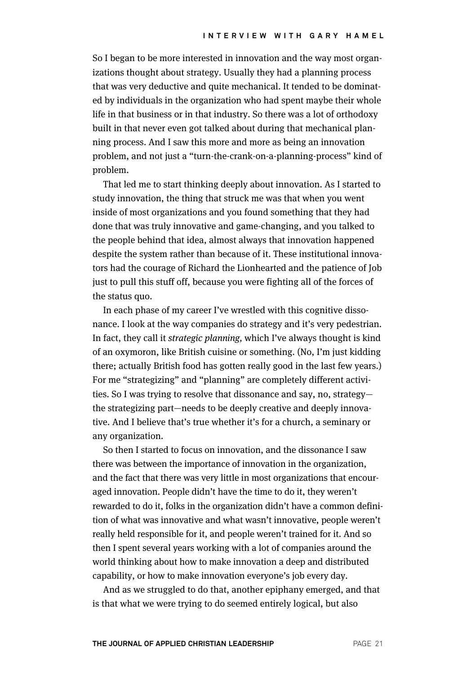So I began to be more interested in innovation and the way most organizations thought about strategy. Usually they had a planning process that was very deductive and quite mechanical. It tended to be dominated by individuals in the organization who had spent maybe their whole life in that business or in that industry. So there was a lot of orthodoxy built in that never even got talked about during that mechanical planning process. And I saw this more and more as being an innovation problem, and not just a "turn-the-crank-on-a-planning-process" kind of problem.

That led me to start thinking deeply about innovation. As I started to study innovation, the thing that struck me was that when you went inside of most organizations and you found something that they had done that was truly innovative and game-changing, and you talked to the people behind that idea, almost always that innovation happened despite the system rather than because of it. These institutional innovators had the courage of Richard the Lionhearted and the patience of Job just to pull this stuff off, because you were fighting all of the forces of the status quo.

In each phase of my career I've wrestled with this cognitive dissonance. I look at the way companies do strategy and it's very pedestrian. In fact, they call it strategic planning, which I've always thought is kind of an oxymoron, like British cuisine or something. (No, I'm just kidding there; actually British food has gotten really good in the last few years.) For me "strategizing" and "planning" are completely different activities. So I was trying to resolve that dissonance and say, no, strategy the strategizing part—needs to be deeply creative and deeply innovative. And I believe that's true whether it's for a church, a seminary or any organization.

So then I started to focus on innovation, and the dissonance I saw there was between the importance of innovation in the organization, and the fact that there was very little in most organizations that encouraged innovation. People didn't have the time to do it, they weren't rewarded to do it, folks in the organization didn't have a common definition of what was innovative and what wasn't innovative, people weren't really held responsible for it, and people weren't trained for it. And so then I spent several years working with a lot of companies around the world thinking about how to make innovation a deep and distributed capability, or how to make innovation everyone's job every day.

And as we struggled to do that, another epiphany emerged, and that is that what we were trying to do seemed entirely logical, but also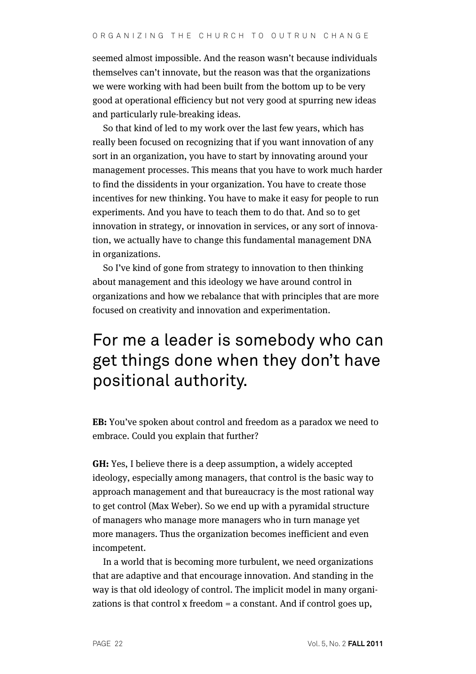seemed almost impossible. And the reason wasn't because individuals themselves can't innovate, but the reason was that the organizations we were working with had been built from the bottom up to be very good at operational efficiency but not very good at spurring new ideas and particularly rule-breaking ideas.

So that kind of led to my work over the last few years, which has really been focused on recognizing that if you want innovation of any sort in an organization, you have to start by innovating around your management processes. This means that you have to work much harder to find the dissidents in your organization. You have to create those incentives for new thinking. You have to make it easy for people to run experiments. And you have to teach them to do that. And so to get innovation in strategy, or innovation in services, or any sort of innovation, we actually have to change this fundamental management DNA in organizations.

So I've kind of gone from strategy to innovation to then thinking about management and this ideology we have around control in organizations and how we rebalance that with principles that are more focused on creativity and innovation and experimentation.

# For me a leader is somebody who can get things done when they don't have positional authority.

**EB:** You've spoken about control and freedom as a paradox we need to embrace. Could you explain that further?

**GH:** Yes, I believe there is a deep assumption, a widely accepted ideology, especially among managers, that control is the basic way to approach management and that bureaucracy is the most rational way to get control (Max Weber). So we end up with a pyramidal structure of managers who manage more managers who in turn manage yet more managers. Thus the organization becomes inefficient and even incompetent.

In a world that is becoming more turbulent, we need organizations that are adaptive and that encourage innovation. And standing in the way is that old ideology of control. The implicit model in many organizations is that control x freedom = a constant. And if control goes up,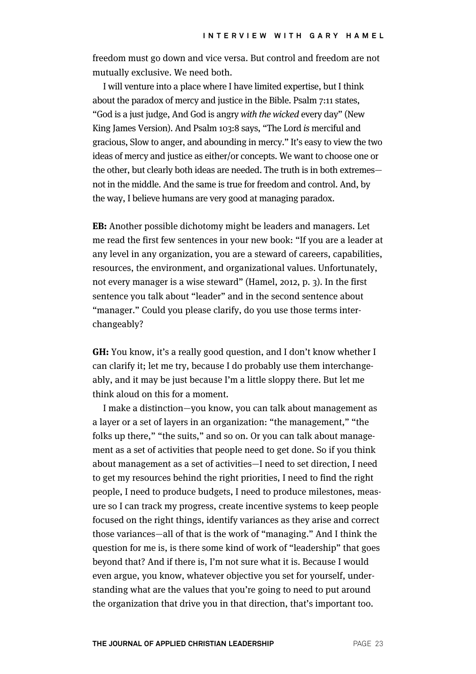freedom must go down and vice versa. But control and freedom are not mutually exclusive. We need both.

I will venture into a place where I have limited expertise, but I think about the paradox of mercy and justice in the Bible. Psalm 7:11 states, "God is a just judge, And God is angry with the wicked every day" (New King James Version). And Psalm 103:8 says, "The Lord is merciful and gracious, Slow to anger, and abounding in mercy." It's easy to view the two ideas of mercy and justice as either/or concepts. We want to choose one or the other, but clearly both ideas are needed. The truth is in both extremes not in the middle. And the same is true for freedom and control. And, by the way, I believe humans are very good at managing paradox.

**EB:** Another possible dichotomy might be leaders and managers. Let me read the first few sentences in your new book: "If you are a leader at any level in any organization, you are a steward of careers, capabilities, resources, the environment, and organizational values. Unfortunately, not every manager is a wise steward" (Hamel, 2012, p. 3). In the first sentence you talk about "leader" and in the second sentence about "manager." Could you please clarify, do you use those terms interchangeably?

**GH:** You know, it's a really good question, and I don't know whether I can clarify it; let me try, because I do probably use them interchangeably, and it may be just because I'm a little sloppy there. But let me think aloud on this for a moment.

I make a distinction—you know, you can talk about management as a layer or a set of layers in an organization: "the management," "the folks up there," "the suits," and so on. Or you can talk about management as a set of activities that people need to get done. So if you think about management as a set of activities—I need to set direction, I need to get my resources behind the right priorities, I need to find the right people, I need to produce budgets, I need to produce milestones, measure so I can track my progress, create incentive systems to keep people focused on the right things, identify variances as they arise and correct those variances—all of that is the work of "managing." And I think the question for me is, is there some kind of work of "leadership" that goes beyond that? And if there is, I'm not sure what it is. Because I would even argue, you know, whatever objective you set for yourself, understanding what are the values that you're going to need to put around the organization that drive you in that direction, that's important too.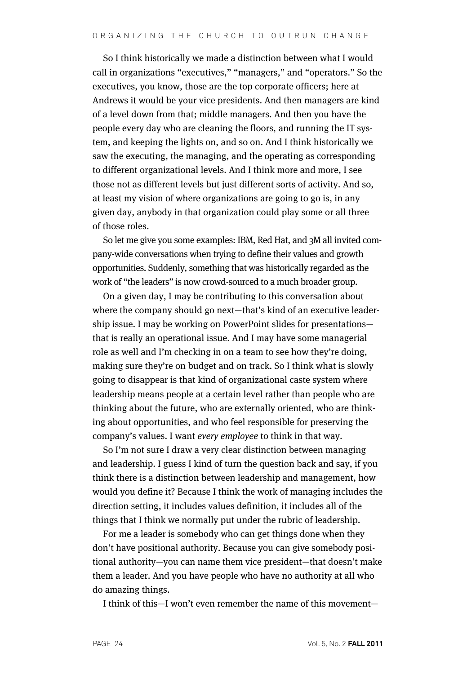So I think historically we made a distinction between what I would call in organizations "executives," "managers," and "operators." So the executives, you know, those are the top corporate officers; here at Andrews it would be your vice presidents. And then managers are kind of a level down from that; middle managers. And then you have the people every day who are cleaning the floors, and running the IT system, and keeping the lights on, and so on. And I think historically we saw the executing, the managing, and the operating as corresponding to different organizational levels. And I think more and more, I see those not as different levels but just different sorts of activity. And so, at least my vision of where organizations are going to go is, in any given day, anybody in that organization could play some or all three of those roles.

So let me give you some examples: IBM, Red Hat, and 3M all invited company-wide conversations when trying to define their values and growth opportunities. Suddenly, something that was historically regarded as the work of "the leaders" is now crowd-sourced to a much broader group.

On a given day, I may be contributing to this conversation about where the company should go next—that's kind of an executive leadership issue. I may be working on PowerPoint slides for presentations that is really an operational issue. And I may have some managerial role as well and I'm checking in on a team to see how they're doing, making sure they're on budget and on track. So I think what is slowly going to disappear is that kind of organizational caste system where leadership means people at a certain level rather than people who are thinking about the future, who are externally oriented, who are thinking about opportunities, and who feel responsible for preserving the company's values. I want every employee to think in that way.

So I'm not sure I draw a very clear distinction between managing and leadership. I guess I kind of turn the question back and say, if you think there is a distinction between leadership and management, how would you define it? Because I think the work of managing includes the direction setting, it includes values definition, it includes all of the things that I think we normally put under the rubric of leadership.

For me a leader is somebody who can get things done when they don't have positional authority. Because you can give somebody positional authority—you can name them vice president—that doesn't make them a leader. And you have people who have no authority at all who do amazing things.

I think of this—I won't even remember the name of this movement—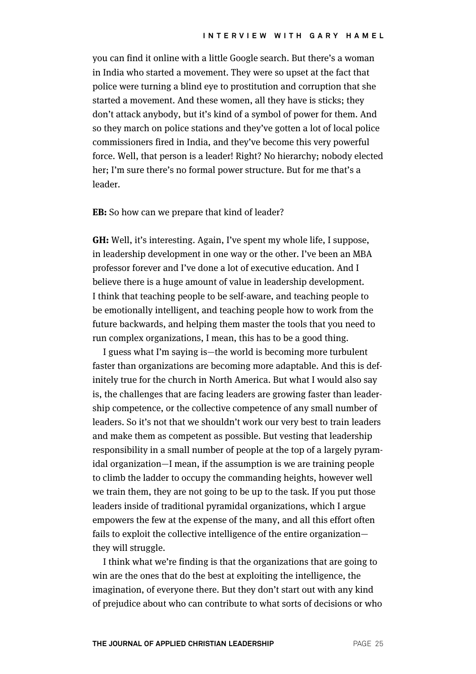you can find it online with a little Google search. But there's a woman in India who started a movement. They were so upset at the fact that police were turning a blind eye to prostitution and corruption that she started a movement. And these women, all they have is sticks; they don't attack anybody, but it's kind of a symbol of power for them. And so they march on police stations and they've gotten a lot of local police commissioners fired in India, and they've become this very powerful force. Well, that person is a leader! Right? No hierarchy; nobody elected her; I'm sure there's no formal power structure. But for me that's a leader.

**EB:** So how can we prepare that kind of leader?

**GH:** Well, it's interesting. Again, I've spent my whole life, I suppose, in leadership development in one way or the other. I've been an MBA professor forever and I've done a lot of executive education. And I believe there is a huge amount of value in leadership development. I think that teaching people to be self-aware, and teaching people to be emotionally intelligent, and teaching people how to work from the future backwards, and helping them master the tools that you need to run complex organizations, I mean, this has to be a good thing.

I guess what I'm saying is—the world is becoming more turbulent faster than organizations are becoming more adaptable. And this is definitely true for the church in North America. But what I would also say is, the challenges that are facing leaders are growing faster than leadership competence, or the collective competence of any small number of leaders. So it's not that we shouldn't work our very best to train leaders and make them as competent as possible. But vesting that leadership responsibility in a small number of people at the top of a largely pyramidal organization—I mean, if the assumption is we are training people to climb the ladder to occupy the commanding heights, however well we train them, they are not going to be up to the task. If you put those leaders inside of traditional pyramidal organizations, which I argue empowers the few at the expense of the many, and all this effort often fails to exploit the collective intelligence of the entire organization they will struggle.

I think what we're finding is that the organizations that are going to win are the ones that do the best at exploiting the intelligence, the imagination, of everyone there. But they don't start out with any kind of prejudice about who can contribute to what sorts of decisions or who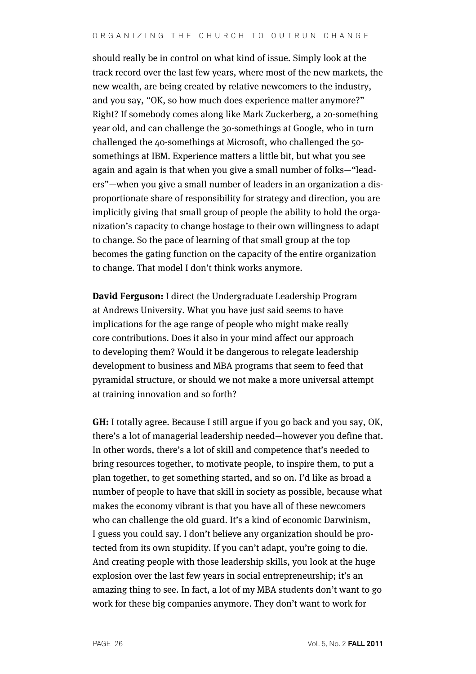should really be in control on what kind of issue. Simply look at the track record over the last few years, where most of the new markets, the new wealth, are being created by relative newcomers to the industry, and you say, "OK, so how much does experience matter anymore?" Right? If somebody comes along like Mark Zuckerberg, a 20-something year old, and can challenge the 30-somethings at Google, who in turn challenged the 40-somethings at Microsoft, who challenged the 50 somethings at IBM. Experience matters a little bit, but what you see again and again is that when you give a small number of folks—"leaders"—when you give a small number of leaders in an organization a disproportionate share of responsibility for strategy and direction, you are implicitly giving that small group of people the ability to hold the organization's capacity to change hostage to their own willingness to adapt to change. So the pace of learning of that small group at the top becomes the gating function on the capacity of the entire organization to change. That model I don't think works anymore.

**David Ferguson:** I direct the Undergraduate Leadership Program at Andrews University. What you have just said seems to have implications for the age range of people who might make really core contributions. Does it also in your mind affect our approach to developing them? Would it be dangerous to relegate leadership development to business and MBA programs that seem to feed that pyramidal structure, or should we not make a more universal attempt at training innovation and so forth?

**GH:** I totally agree. Because I still argue if you go back and you say, OK, there's a lot of managerial leadership needed—however you define that. In other words, there's a lot of skill and competence that's needed to bring resources together, to motivate people, to inspire them, to put a plan together, to get something started, and so on. I'd like as broad a number of people to have that skill in society as possible, because what makes the economy vibrant is that you have all of these newcomers who can challenge the old guard. It's a kind of economic Darwinism, I guess you could say. I don't believe any organization should be protected from its own stupidity. If you can't adapt, you're going to die. And creating people with those leadership skills, you look at the huge explosion over the last few years in social entrepreneurship; it's an amazing thing to see. In fact, a lot of my MBA students don't want to go work for these big companies anymore. They don't want to work for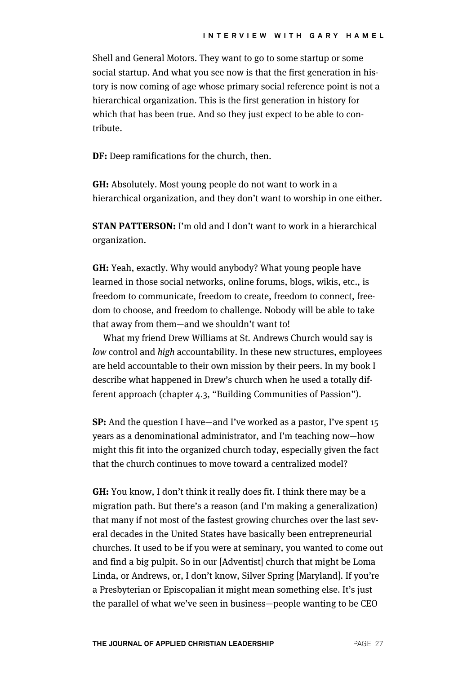Shell and General Motors. They want to go to some startup or some social startup. And what you see now is that the first generation in history is now coming of age whose primary social reference point is not a hierarchical organization. This is the first generation in history for which that has been true. And so they just expect to be able to contribute.

**DF:** Deep ramifications for the church, then.

**GH:** Absolutely. Most young people do not want to work in a hierarchical organization, and they don't want to worship in one either.

**STAN PATTERSON:** I'm old and I don't want to work in a hierarchical organization.

**GH:** Yeah, exactly. Why would anybody? What young people have learned in those social networks, online forums, blogs, wikis, etc., is freedom to communicate, freedom to create, freedom to connect, freedom to choose, and freedom to challenge. Nobody will be able to take that away from them—and we shouldn't want to!

What my friend Drew Williams at St. Andrews Church would say is low control and high accountability. In these new structures, employees are held accountable to their own mission by their peers. In my book I describe what happened in Drew's church when he used a totally different approach (chapter 4.3, "Building Communities of Passion").

**SP:** And the question I have—and I've worked as a pastor, I've spent 15 years as a denominational administrator, and I'm teaching now—how might this fit into the organized church today, especially given the fact that the church continues to move toward a centralized model?

**GH:** You know, I don't think it really does fit. I think there may be a migration path. But there's a reason (and I'm making a generalization) that many if not most of the fastest growing churches over the last several decades in the United States have basically been entrepreneurial churches. It used to be if you were at seminary, you wanted to come out and find a big pulpit. So in our [Adventist] church that might be Loma Linda, or Andrews, or, I don't know, Silver Spring [Maryland]. If you're a Presbyterian or Episcopalian it might mean something else. It's just the parallel of what we've seen in business—people wanting to be CEO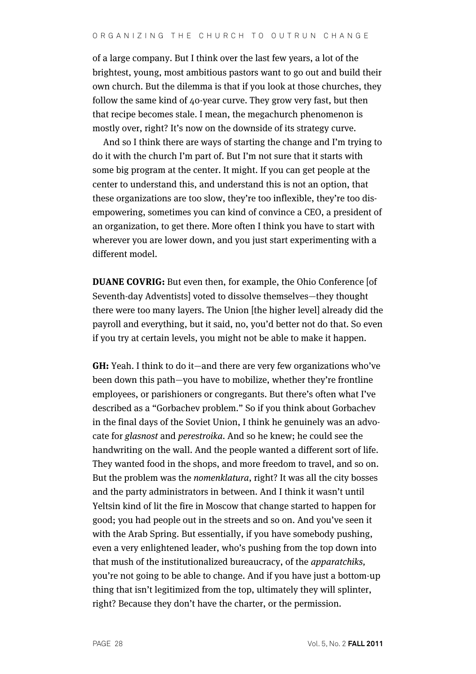of a large company. But I think over the last few years, a lot of the brightest, young, most ambitious pastors want to go out and build their own church. But the dilemma is that if you look at those churches, they follow the same kind of 40-year curve. They grow very fast, but then that recipe becomes stale. I mean, the megachurch phenomenon is mostly over, right? It's now on the downside of its strategy curve.

And so I think there are ways of starting the change and I'm trying to do it with the church I'm part of. But I'm not sure that it starts with some big program at the center. It might. If you can get people at the center to understand this, and understand this is not an option, that these organizations are too slow, they're too inflexible, they're too disempowering, sometimes you can kind of convince a CEO, a president of an organization, to get there. More often I think you have to start with wherever you are lower down, and you just start experimenting with a different model.

**DUANE COVRIG:** But even then, for example, the Ohio Conference [of Seventh-day Adventists] voted to dissolve themselves—they thought there were too many layers. The Union [the higher level] already did the payroll and everything, but it said, no, you'd better not do that. So even if you try at certain levels, you might not be able to make it happen.

**GH:** Yeah. I think to do it—and there are very few organizations who've been down this path—you have to mobilize, whether they're frontline employees, or parishioners or congregants. But there's often what I've described as a "Gorbachev problem." So if you think about Gorbachev in the final days of the Soviet Union, I think he genuinely was an advocate for glasnost and perestroika. And so he knew; he could see the handwriting on the wall. And the people wanted a different sort of life. They wanted food in the shops, and more freedom to travel, and so on. But the problem was the nomenklatura, right? It was all the city bosses and the party administrators in between. And I think it wasn't until Yeltsin kind of lit the fire in Moscow that change started to happen for good; you had people out in the streets and so on. And you've seen it with the Arab Spring. But essentially, if you have somebody pushing, even a very enlightened leader, who's pushing from the top down into that mush of the institutionalized bureaucracy, of the apparatchiks, you're not going to be able to change. And if you have just a bottom-up thing that isn't legitimized from the top, ultimately they will splinter, right? Because they don't have the charter, or the permission.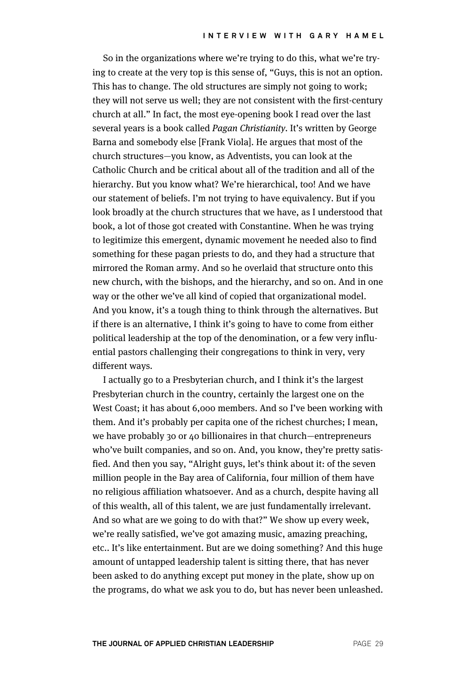So in the organizations where we're trying to do this, what we're trying to create at the very top is this sense of, "Guys, this is not an option. This has to change. The old structures are simply not going to work; they will not serve us well; they are not consistent with the first-century church at all." In fact, the most eye-opening book I read over the last several years is a book called *Pagan Christianity*. It's written by George Barna and somebody else [Frank Viola]. He argues that most of the church structures—you know, as Adventists, you can look at the Catholic Church and be critical about all of the tradition and all of the hierarchy. But you know what? We're hierarchical, too! And we have our statement of beliefs. I'm not trying to have equivalency. But if you look broadly at the church structures that we have, as I understood that book, a lot of those got created with Constantine. When he was trying to legitimize this emergent, dynamic movement he needed also to find something for these pagan priests to do, and they had a structure that mirrored the Roman army. And so he overlaid that structure onto this new church, with the bishops, and the hierarchy, and so on. And in one way or the other we've all kind of copied that organizational model. And you know, it's a tough thing to think through the alternatives. But if there is an alternative, I think it's going to have to come from either political leadership at the top of the denomination, or a few very influential pastors challenging their congregations to think in very, very different ways.

I actually go to a Presbyterian church, and I think it's the largest Presbyterian church in the country, certainly the largest one on the West Coast; it has about 6,000 members. And so I've been working with them. And it's probably per capita one of the richest churches; I mean, we have probably 30 or 40 billionaires in that church—entrepreneurs who've built companies, and so on. And, you know, they're pretty satisfied. And then you say, "Alright guys, let's think about it: of the seven million people in the Bay area of California, four million of them have no religious affiliation whatsoever. And as a church, despite having all of this wealth, all of this talent, we are just fundamentally irrelevant. And so what are we going to do with that?" We show up every week, we're really satisfied, we've got amazing music, amazing preaching, etc.. It's like entertainment. But are we doing something? And this huge amount of untapped leadership talent is sitting there, that has never been asked to do anything except put money in the plate, show up on the programs, do what we ask you to do, but has never been unleashed.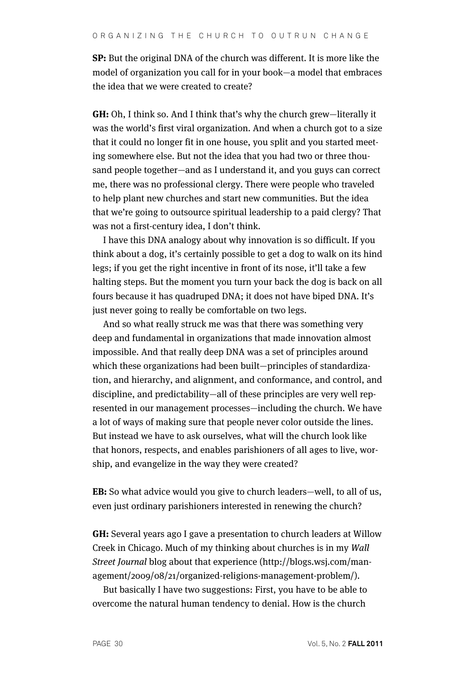**SP:** But the original DNA of the church was different. It is more like the model of organization you call for in your book—a model that embraces the idea that we were created to create?

**GH:** Oh, I think so. And I think that's why the church grew—literally it was the world's first viral organization. And when a church got to a size that it could no longer fit in one house, you split and you started meeting somewhere else. But not the idea that you had two or three thousand people together—and as I understand it, and you guys can correct me, there was no professional clergy. There were people who traveled to help plant new churches and start new communities. But the idea that we're going to outsource spiritual leadership to a paid clergy? That was not a first-century idea, I don't think.

I have this DNA analogy about why innovation is so difficult. If you think about a dog, it's certainly possible to get a dog to walk on its hind legs; if you get the right incentive in front of its nose, it'll take a few halting steps. But the moment you turn your back the dog is back on all fours because it has quadruped DNA; it does not have biped DNA. It's just never going to really be comfortable on two legs.

And so what really struck me was that there was something very deep and fundamental in organizations that made innovation almost impossible. And that really deep DNA was a set of principles around which these organizations had been built—principles of standardization, and hierarchy, and alignment, and conformance, and control, and discipline, and predictability—all of these principles are very well represented in our management processes—including the church. We have a lot of ways of making sure that people never color outside the lines. But instead we have to ask ourselves, what will the church look like that honors, respects, and enables parishioners of all ages to live, worship, and evangelize in the way they were created?

**EB:** So what advice would you give to church leaders—well, to all of us, even just ordinary parishioners interested in renewing the church?

**GH:** Several years ago I gave a presentation to church leaders at Willow Creek in Chicago. Much of my thinking about churches is in my Wall Street Journal blog about that experience (http://blogs.wsj.com/management/2009/08/21/organized-religions-management-problem/).

But basically I have two suggestions: First, you have to be able to overcome the natural human tendency to denial. How is the church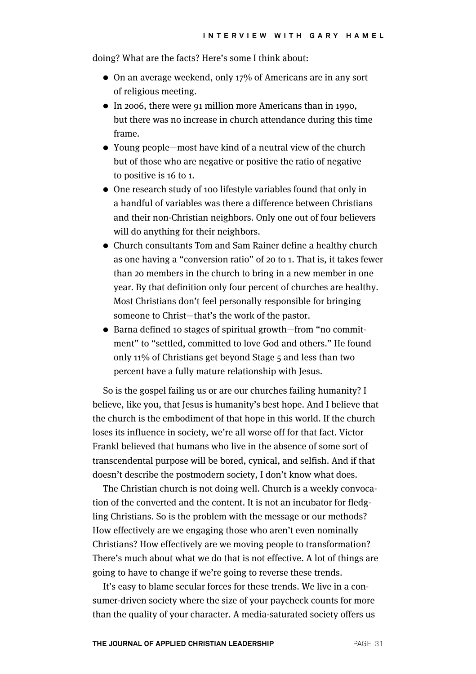doing? What are the facts? Here's some I think about:

- On an average weekend, only 17% of Americans are in any sort of religious meeting.
- In 2006, there were 91 million more Americans than in 1990, but there was no increase in church attendance during this time frame.
- Young people—most have kind of a neutral view of the church but of those who are negative or positive the ratio of negative to positive is 16 to 1.
- One research study of 100 lifestyle variables found that only in a handful of variables was there a difference between Christians and their non-Christian neighbors. Only one out of four believers will do anything for their neighbors.
- Church consultants Tom and Sam Rainer define a healthy church as one having a "conversion ratio" of 20 to 1. That is, it takes fewer than 20 members in the church to bring in a new member in one year. By that definition only four percent of churches are healthy. Most Christians don't feel personally responsible for bringing someone to Christ—that's the work of the pastor.
- Barna defined 10 stages of spiritual growth—from "no commitment" to "settled, committed to love God and others." He found only 11% of Christians get beyond Stage 5 and less than two percent have a fully mature relationship with Jesus.

So is the gospel failing us or are our churches failing humanity? I believe, like you, that Jesus is humanity's best hope. And I believe that the church is the embodiment of that hope in this world. If the church loses its influence in society, we're all worse off for that fact. Victor Frankl believed that humans who live in the absence of some sort of transcendental purpose will be bored, cynical, and selfish. And if that doesn't describe the postmodern society, I don't know what does.

The Christian church is not doing well. Church is a weekly convocation of the converted and the content. It is not an incubator for fledgling Christians. So is the problem with the message or our methods? How effectively are we engaging those who aren't even nominally Christians? How effectively are we moving people to transformation? There's much about what we do that is not effective. A lot of things are going to have to change if we're going to reverse these trends.

It's easy to blame secular forces for these trends. We live in a consumer-driven society where the size of your paycheck counts for more than the quality of your character. A media-saturated society offers us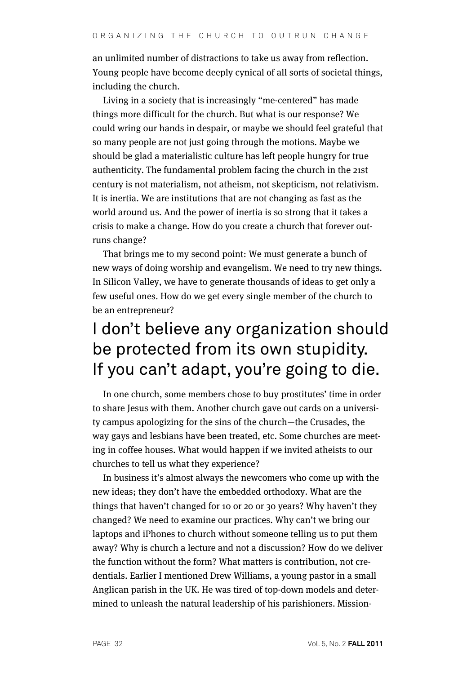an unlimited number of distractions to take us away from reflection. Young people have become deeply cynical of all sorts of societal things, including the church.

Living in a society that is increasingly "me-centered" has made things more difficult for the church. But what is our response? We could wring our hands in despair, or maybe we should feel grateful that so many people are not just going through the motions. Maybe we should be glad a materialistic culture has left people hungry for true authenticity. The fundamental problem facing the church in the 21st century is not materialism, not atheism, not skepticism, not relativism. It is inertia. We are institutions that are not changing as fast as the world around us. And the power of inertia is so strong that it takes a crisis to make a change. How do you create a church that forever outruns change?

That brings me to my second point: We must generate a bunch of new ways of doing worship and evangelism. We need to try new things. In Silicon Valley, we have to generate thousands of ideas to get only a few useful ones. How do we get every single member of the church to be an entrepreneur?

## I don't believe any organization should be protected from its own stupidity. If you can't adapt, you're going to die.

In one church, some members chose to buy prostitutes' time in order to share Jesus with them. Another church gave out cards on a university campus apologizing for the sins of the church—the Crusades, the way gays and lesbians have been treated, etc. Some churches are meeting in coffee houses. What would happen if we invited atheists to our churches to tell us what they experience?

In business it's almost always the newcomers who come up with the new ideas; they don't have the embedded orthodoxy. What are the things that haven't changed for 10 or 20 or 30 years? Why haven't they changed? We need to examine our practices. Why can't we bring our laptops and iPhones to church without someone telling us to put them away? Why is church a lecture and not a discussion? How do we deliver the function without the form? What matters is contribution, not credentials. Earlier I mentioned Drew Williams, a young pastor in a small Anglican parish in the UK. He was tired of top-down models and determined to unleash the natural leadership of his parishioners. Mission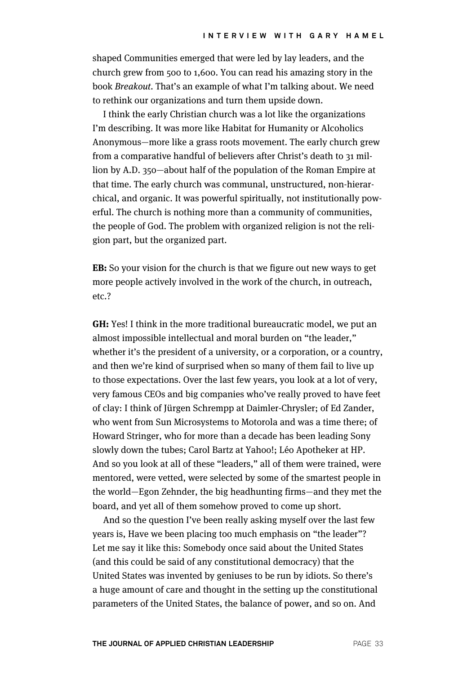shaped Communities emerged that were led by lay leaders, and the church grew from 500 to 1,600. You can read his amazing story in the book Breakout. That's an example of what I'm talking about. We need to rethink our organizations and turn them upside down.

I think the early Christian church was a lot like the organizations I'm describing. It was more like Habitat for Humanity or Alcoholics Anonymous—more like a grass roots movement. The early church grew from a comparative handful of believers after Christ's death to 31 million by A.D. 350—about half of the population of the Roman Empire at that time. The early church was communal, unstructured, non-hierarchical, and organic. It was powerful spiritually, not institutionally powerful. The church is nothing more than a community of communities, the people of God. The problem with organized religion is not the religion part, but the organized part.

**EB:** So your vision for the church is that we figure out new ways to get more people actively involved in the work of the church, in outreach, etc.?

**GH:** Yes! I think in the more traditional bureaucratic model, we put an almost impossible intellectual and moral burden on "the leader," whether it's the president of a university, or a corporation, or a country, and then we're kind of surprised when so many of them fail to live up to those expectations. Over the last few years, you look at a lot of very, very famous CEOs and big companies who've really proved to have feet of clay: I think of Jürgen Schrempp at Daimler-Chrysler; of Ed Zander, who went from Sun Microsystems to Motorola and was a time there; of Howard Stringer, who for more than a decade has been leading Sony slowly down the tubes; Carol Bartz at Yahoo!; Léo Apotheker at HP. And so you look at all of these "leaders," all of them were trained, were mentored, were vetted, were selected by some of the smartest people in the world—Egon Zehnder, the big headhunting firms—and they met the board, and yet all of them somehow proved to come up short.

And so the question I've been really asking myself over the last few years is, Have we been placing too much emphasis on "the leader"? Let me say it like this: Somebody once said about the United States (and this could be said of any constitutional democracy) that the United States was invented by geniuses to be run by idiots. So there's a huge amount of care and thought in the setting up the constitutional parameters of the United States, the balance of power, and so on. And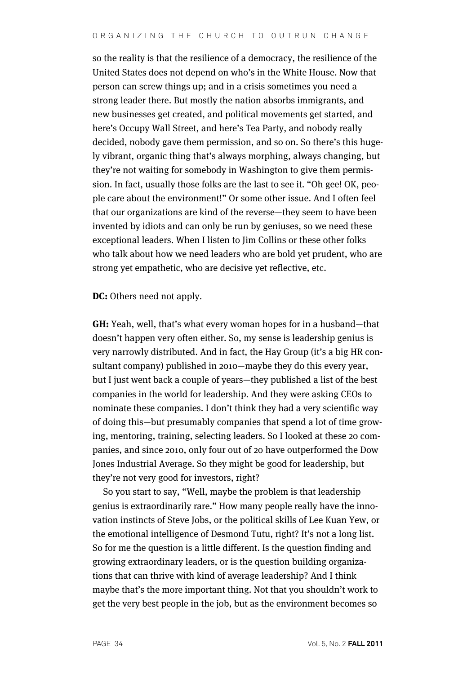so the reality is that the resilience of a democracy, the resilience of the United States does not depend on who's in the White House. Now that person can screw things up; and in a crisis sometimes you need a strong leader there. But mostly the nation absorbs immigrants, and new businesses get created, and political movements get started, and here's Occupy Wall Street, and here's Tea Party, and nobody really decided, nobody gave them permission, and so on. So there's this hugely vibrant, organic thing that's always morphing, always changing, but they're not waiting for somebody in Washington to give them permission. In fact, usually those folks are the last to see it. "Oh gee! OK, people care about the environment!" Or some other issue. And I often feel that our organizations are kind of the reverse—they seem to have been invented by idiots and can only be run by geniuses, so we need these exceptional leaders. When I listen to Jim Collins or these other folks who talk about how we need leaders who are bold yet prudent, who are strong yet empathetic, who are decisive yet reflective, etc.

**DC:** Others need not apply.

**GH:** Yeah, well, that's what every woman hopes for in a husband—that doesn't happen very often either. So, my sense is leadership genius is very narrowly distributed. And in fact, the Hay Group (it's a big HR consultant company) published in 2010—maybe they do this every year, but I just went back a couple of years—they published a list of the best companies in the world for leadership. And they were asking CEOs to nominate these companies. I don't think they had a very scientific way of doing this—but presumably companies that spend a lot of time growing, mentoring, training, selecting leaders. So I looked at these 20 companies, and since 2010, only four out of 20 have outperformed the Dow Jones Industrial Average. So they might be good for leadership, but they're not very good for investors, right?

So you start to say, "Well, maybe the problem is that leadership genius is extraordinarily rare." How many people really have the innovation instincts of Steve Jobs, or the political skills of Lee Kuan Yew, or the emotional intelligence of Desmond Tutu, right? It's not a long list. So for me the question is a little different. Is the question finding and growing extraordinary leaders, or is the question building organizations that can thrive with kind of average leadership? And I think maybe that's the more important thing. Not that you shouldn't work to get the very best people in the job, but as the environment becomes so